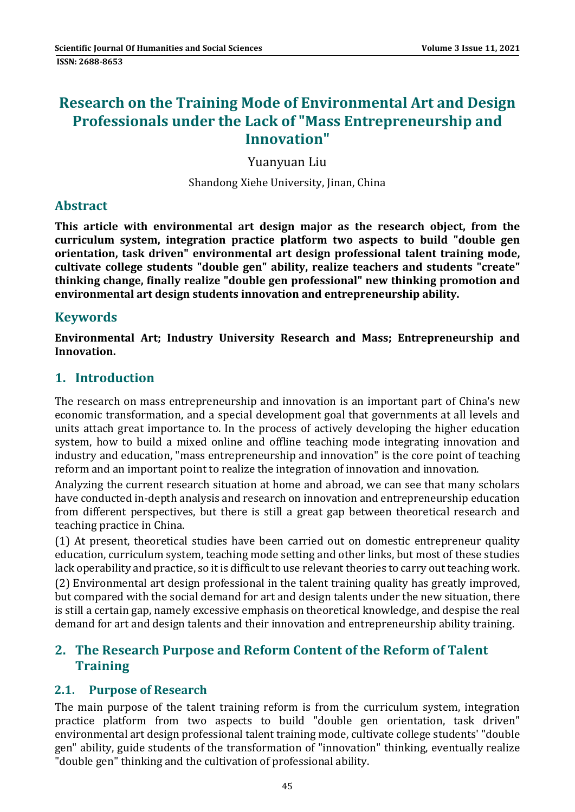# **Research on the Training Mode of Environmental Art and Design Professionals under the Lack of "Mass Entrepreneurship and Innovation"**

Yuanyuan Liu 

Shandong Xiehe University, Jinan, China

# **Abstract**

**This article with environmental art design major as the research object, from the curriculum system, integration practice platform two aspects to build "double gen orientation, task driven" environmental art design professional talent training mode, cultivate college students "double gen" ability, realize teachers and students "create" thinking change, finally realize "double gen professional" new thinking promotion and environmental art design students innovation and entrepreneurship ability.**

# **Keywords**

**Environmental Art; Industry University Research and Mass; Entrepreneurship and Innovation.**

# **1. Introduction**

The research on mass entrepreneurship and innovation is an important part of China's new economic transformation, and a special development goal that governments at all levels and units attach great importance to. In the process of actively developing the higher education system, how to build a mixed online and offline teaching mode integrating innovation and industry and education, "mass entrepreneurship and innovation" is the core point of teaching reform and an important point to realize the integration of innovation and innovation.

Analyzing the current research situation at home and abroad, we can see that many scholars have conducted in-depth analysis and research on innovation and entrepreneurship education from different perspectives, but there is still a great gap between theoretical research and teaching practice in China.

(1) At present, theoretical studies have been carried out on domestic entrepreneur quality education, curriculum system, teaching mode setting and other links, but most of these studies lack operability and practice, so it is difficult to use relevant theories to carry out teaching work. (2) Environmental art design professional in the talent training quality has greatly improved,

but compared with the social demand for art and design talents under the new situation, there is still a certain gap, namely excessive emphasis on theoretical knowledge, and despise the real demand for art and design talents and their innovation and entrepreneurship ability training.

# **2. The Research Purpose and Reform Content of the Reform of Talent Training**

### **2.1. Purpose of Research**

The main purpose of the talent training reform is from the curriculum system, integration practice platform from two aspects to build "double gen orientation, task driven" environmental art design professional talent training mode, cultivate college students' "double gen" ability, guide students of the transformation of "innovation" thinking, eventually realize " double gen" thinking and the cultivation of professional ability.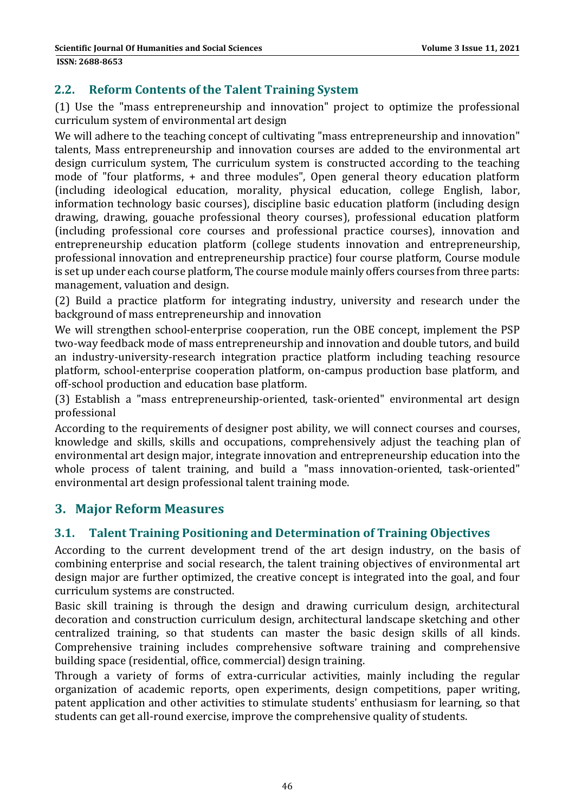#### **2.2. Reform Contents of the Talent Training System**

(1) Use the "mass entrepreneurship and innovation" project to optimize the professional curriculum system of environmental art design

We will adhere to the teaching concept of cultivating "mass entrepreneurship and innovation" talents, Mass entrepreneurship and innovation courses are added to the environmental art design curriculum system, The curriculum system is constructed according to the teaching mode of "four platforms,  $+$  and three modules", Open general theory education platform (including ideological education, morality, physical education, college English, labor, information technology basic courses), discipline basic education platform (including design drawing, drawing, gouache professional theory courses), professional education platform (including professional core courses and professional practice courses), innovation and entrepreneurship education platform (college students innovation and entrepreneurship, professional innovation and entrepreneurship practice) four course platform, Course module is set up under each course platform, The course module mainly offers courses from three parts: management, valuation and design.

(2) Build a practice platform for integrating industry, university and research under the background of mass entrepreneurship and innovation

We will strengthen school-enterprise cooperation, run the OBE concept, implement the PSP two-way feedback mode of mass entrepreneurship and innovation and double tutors, and build an industry-university-research integration practice platform including teaching resource platform, school-enterprise cooperation platform, on-campus production base platform, and off-school production and education base platform.

(3) Establish a "mass entrepreneurship-oriented, task-oriented" environmental art design professional 

According to the requirements of designer post ability, we will connect courses and courses, knowledge and skills, skills and occupations, comprehensively adjust the teaching plan of environmental art design major, integrate innovation and entrepreneurship education into the whole process of talent training, and build a "mass innovation-oriented, task-oriented" environmental art design professional talent training mode.

### **3. Major Reform Measures**

#### **3.1. Talent Training Positioning and Determination of Training Objectives**

According to the current development trend of the art design industry, on the basis of combining enterprise and social research, the talent training objectives of environmental art design major are further optimized, the creative concept is integrated into the goal, and four curriculum systems are constructed.

Basic skill training is through the design and drawing curriculum design, architectural decoration and construction curriculum design, architectural landscape sketching and other centralized training, so that students can master the basic design skills of all kinds. Comprehensive training includes comprehensive software training and comprehensive building space (residential, office, commercial) design training.

Through a variety of forms of extra-curricular activities, mainly including the regular organization of academic reports, open experiments, design competitions, paper writing, patent application and other activities to stimulate students' enthusiasm for learning, so that students can get all-round exercise, improve the comprehensive quality of students.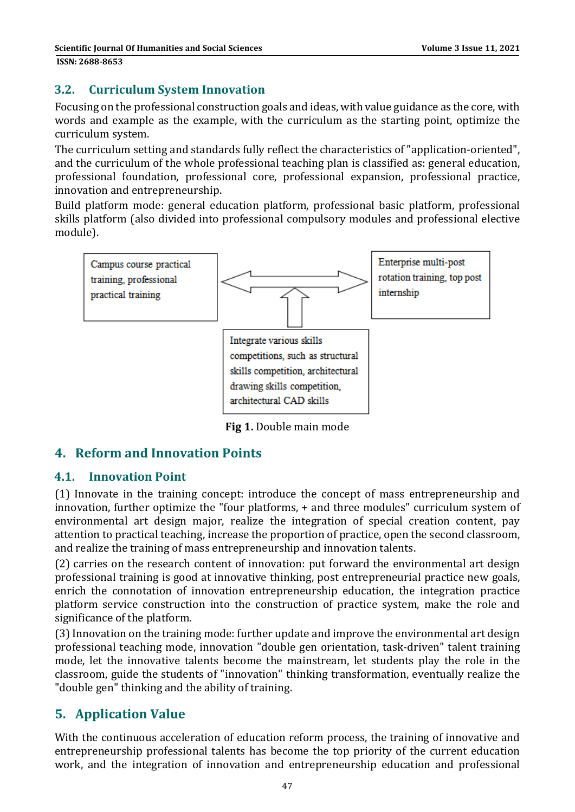#### **3.2. Curriculum System Innovation**

Focusing on the professional construction goals and ideas, with value guidance as the core, with words and example as the example, with the curriculum as the starting point, optimize the curriculum system. 

The curriculum setting and standards fully reflect the characteristics of "application-oriented", and the curriculum of the whole professional teaching plan is classified as: general education, professional foundation, professional core, professional expansion, professional practice, innovation and entrepreneurship.

Build platform mode: general education platform, professional basic platform, professional skills platform (also divided into professional compulsory modules and professional elective module). 



**Fig 1.** Double main mode

### **4. Reform and Innovation Points**

#### **4.1. Innovation Point**

(1) Innovate in the training concept: introduce the concept of mass entrepreneurship and innovation, further optimize the "four platforms, + and three modules" curriculum system of environmental art design major, realize the integration of special creation content, pay attention to practical teaching, increase the proportion of practice, open the second classroom, and realize the training of mass entrepreneurship and innovation talents.

(2) carries on the research content of innovation: put forward the environmental art design professional training is good at innovative thinking, post entrepreneurial practice new goals, enrich the connotation of innovation entrepreneurship education, the integration practice platform service construction into the construction of practice system, make the role and significance of the platform.

(3) Innovation on the training mode: further update and improve the environmental art design professional teaching mode, innovation "double gen orientation, task-driven" talent training mode, let the innovative talents become the mainstream, let students play the role in the classroom, guide the students of "innovation" thinking transformation, eventually realize the " double gen" thinking and the ability of training.

# **5. Application Value**

With the continuous acceleration of education reform process, the training of innovative and entrepreneurship professional talents has become the top priority of the current education work, and the integration of innovation and entrepreneurship education and professional